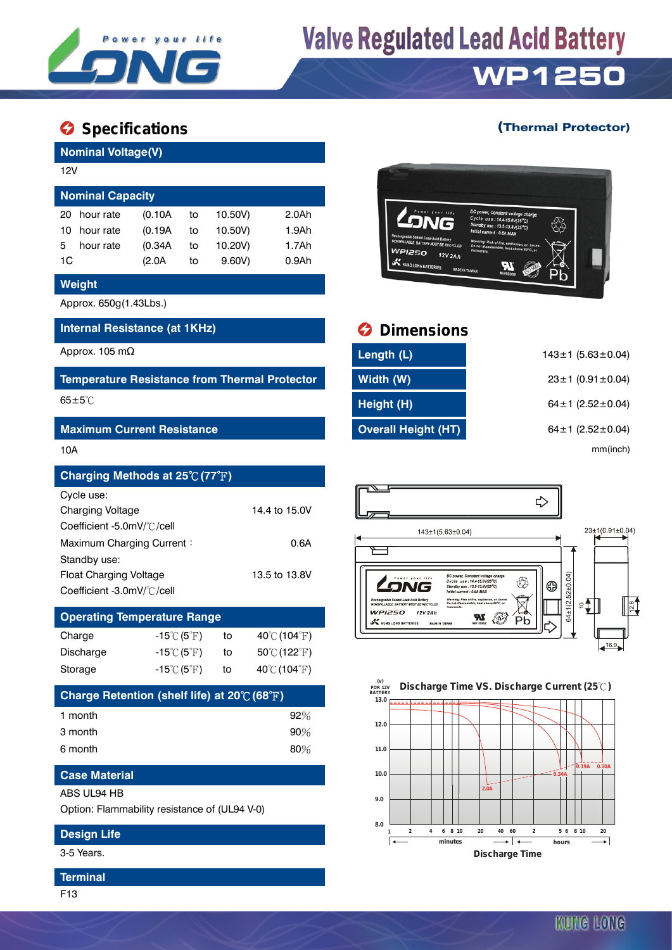

# **Valve Regulated Lead Acid Battery**

# **WP1250**

## **Specifications C** Specifications **C** Specifications **C** Specifications **C** Specifications **C** Specifications **C** Specifications **C** Specifications **C** Specifications **C** Specifications **C** Specifications **C** Specificati

## **Nominal Voltage(V)** 12V **Nominal Capacity** 20 hour rate (0.10A to 10.50V) 2.0Ah 10 hour rate (0.19A to 10.50V) 1.9Ah 5 hour rate (0.34A to 10.20V) 1.7Ah 1C (2.0A to 9.60V) 0.9Ah

#### **Weight**

Approx. 650g(1.43Lbs.)

#### **Internal Resistance (at 1KHz) Dimensions**

#### **Maximum Current Resistance**

| Charging Methods at 25℃ (77°F) |               |
|--------------------------------|---------------|
| Cycle use:                     |               |
| <b>Charging Voltage</b>        | 14.4 to 15.0V |
| Coefficient -5.0mV/°C/cell     |               |
| Maximum Charging Current:      | 0.6A          |
| Standby use:                   |               |
| Float Charging Voltage         | 13.5 to 13.8V |
| Coefficient -3.0mV/°C/cell     |               |

| <b>Operating Temperature Range</b> |                                  |    |                                  |  |  |
|------------------------------------|----------------------------------|----|----------------------------------|--|--|
| Charge                             | $-15^{\circ}$ C $(5^{\circ}$ F)  | to | 40 $\degree$ C (104 $\degree$ F) |  |  |
| Discharge                          | $-15^{\circ}$ C $(5^{\circ}$ F)  | to | 50℃ (122°F)                      |  |  |
| Storage                            | $-15^{\circ}$ C (5 $^{\circ}$ F) | to | 40°C (104°F)                     |  |  |

| Charge Retention (shelf life) at 20℃ (68°F) |        |  |  |
|---------------------------------------------|--------|--|--|
| 1 month                                     | $92\%$ |  |  |
| 3 month                                     | $90\%$ |  |  |
| 6 month                                     | 80%    |  |  |

### **Case Material**

ABS UL94 HB

Option: Flammability resistance of (UL94 V-0)

### **Design Life**

3-5 Years.

#### **Terminal**

F13



| Approx. 105 mΩ                                       | Length (L)                 | $143 \pm 1$ (5.63 $\pm$ 0.04) |
|------------------------------------------------------|----------------------------|-------------------------------|
| <b>Temperature Resistance from Thermal Protector</b> | Width (W)                  | $23 \pm 1$ (0.91 $\pm$ 0.04)  |
| $65 \pm 5^{\circ}$ C                                 | Height (H)                 | $64 \pm 1$ (2.52 $\pm$ 0.04)  |
| <b>Maximum Current Resistance</b>                    | <b>Overall Height (HT)</b> | $64 \pm 1$ (2.52 $\pm$ 0.04)  |
| 10A                                                  |                            | mm(inch)                      |